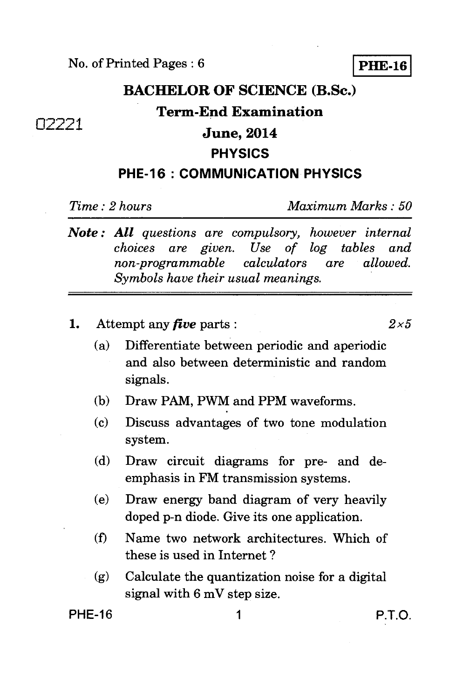# **BACHELOR OF SCIENCE (B.Sc.) Term-End Examination June, 2014 PHYSICS**

#### **PHE-16 : COMMUNICATION PHYSICS**

❑2221

*Time : 2 hours Maximum Marks : 50* 

- *Note : All questions are compulsory, however internal choices are given. Use of log tables and non-programmable calculators are Symbols have their usual meanings.*
- **1.** Attempt any *five* parts :  $2 \times 5$

- (a) Differentiate between periodic and aperiodic and also between deterministic and random signals.
- (b) Draw PAM, PWM and PPM waveforms.
- (c) Discuss advantages of two tone modulation system.
- (d) Draw circuit diagrams for pre- and deemphasis in FM transmission systems.
- (e) Draw energy band diagram of very heavily doped p-n diode. Give its one application.
- (0 Name two network architectures. Which of these is used in Internet ?
- *(g)* Calculate the quantization noise for a digital signal with 6 mV step size.

PHE-16 1 P.T.O.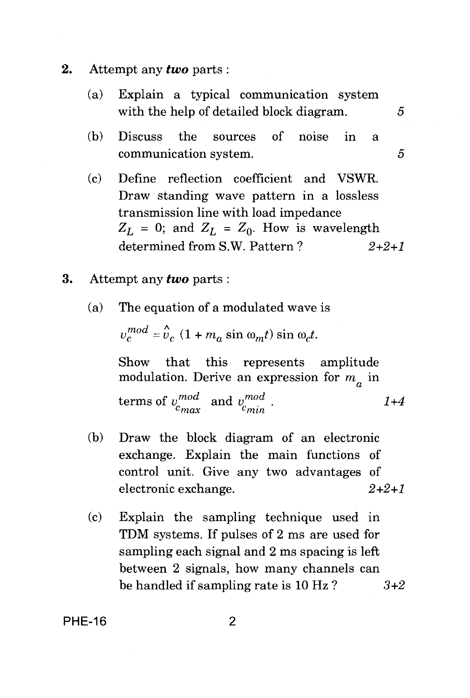- **2.** Attempt any *two* parts :
	- (a) Explain a typical communication system with the help of detailed block diagram.  $5$
	- (b) Discuss the sources of noise in a communication system. 5
	- (c) Define reflection coefficient and VSWR. Draw standing wave pattern in a lossless transmission line with load impedance  $Z_L = 0$ ; and  $Z_L = Z_0$ . How is wavelength determined from S.W. Pattern ? *2+2+1*
- **3.** Attempt any *two* parts :
	- (a) The equation of a modulated wave is

 $v_c^{mod} = v_c (1 + m_a \sin \omega_m t) \sin \omega_c t$ .

Show that this represents amplitude modulation. Derive an expression for  $m_a$  in

modulation. Derive an expression for  $m_a$  in<br>terms of  $v_{max}^{mod}$  and  $v_{min}^{mod}$ . 1+4

- (b) Draw the block diagram of an electronic exchange. Explain the main functions of control unit. Give any two advantages of electronic exchange. *2+2+1*
- (c) Explain the sampling technique used in TDM systems. If pulses of 2 ms are used for sampling each signal and 2 ms spacing is left between 2 signals, how many channels can be handled if sampling rate is 10 Hz ? *3+2*

**PHE-16** 2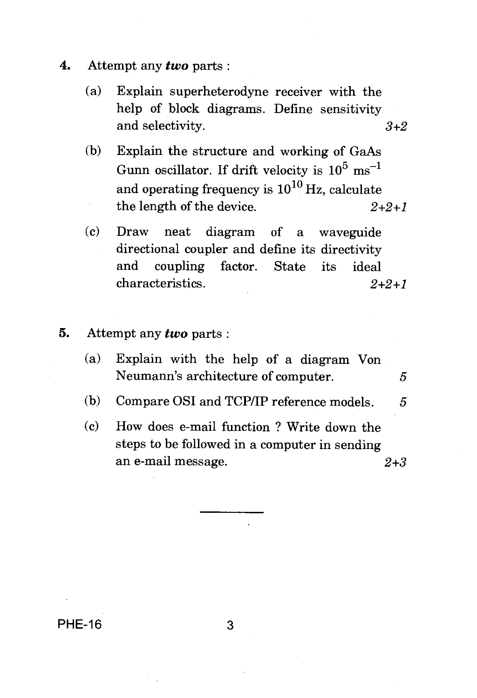- **4.** Attempt any *two* parts :
	- (a) Explain superheterodyne receiver with the help of block diagrams. Define sensitivity and selectivity.  $3+2$
	- (b) Explain the structure and working of GaAs Gunn oscillator. If drift velocity is  $10^5 \text{ ms}^{-1}$ and operating frequency is  $10^{10}$  Hz, calculate the length of the device.  $2+2+1$

(c) Draw neat diagram of a waveguide directional coupler and define its directivity and coupling factor. State its ideal characteristics. 2+2+1

- **5. Attempt** any *two* parts :
	- (a) Explain with the help of a diagram Von Neumann's architecture of computer. 5
	- (b) Compare OSI and TCP/IP reference models. 5
	- (c) How does e-mail function ? Write down the steps to be followed in a computer in sending an e-mail message. 2+3

PHE-16 3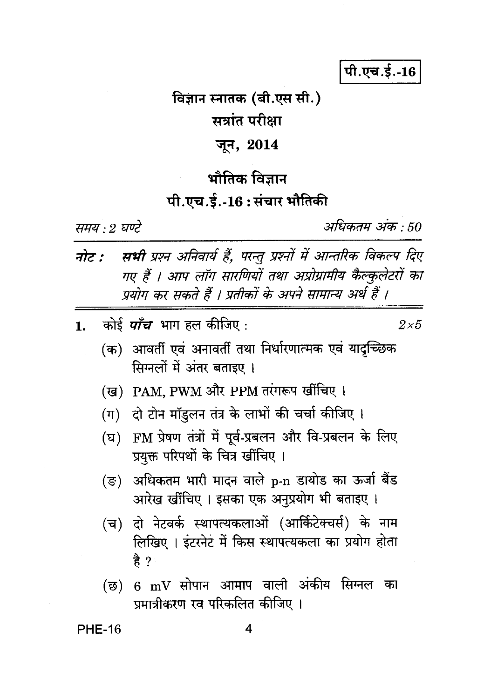पी.एच.ई.-16

# विज्ञान स्नातक (बी.एस सी.) सत्रांत परीक्षा जून, 2014

# भौतिक विज्ञान

### पी.एच.ई.-16:संचार भौतिकी

समय : 2 घण्टे

अधिकतम अंक : 50

- सभी प्रश्न अनिवार्य हैं, परन्तु प्रश्नों में आन्तरिक विकल्प दिए नोट : गए हैं । आप लॉग सारणियों तथा अप्रोग्रामीय कैल्कुलेटरों का प्रयोग कर सकते हैं । प्रतीकों के अपने सामान्य अर्थ हैं ।
- कोई *पाँच* भाग हल कीजिए :  $\mathbf{1}$ .

 $2\times 5$ 

- (क) आवर्ती एवं अनावर्ती तथा निर्धारणात्मक एवं यादृच्छिक सिग्नलों में अंतर बताइए ।
- (ख) PAM. PWM और PPM तरंगरूप खींचिए ।
- (ग) दो टोन मॉइलन तंत्र के लाभों की चर्चा कीजिए ।
- (घ) FM प्रेषण तंत्रों में पूर्व-प्रबलन और वि-प्रबलन के लिए प्रयक्त परिपथों के चित्र खींचिए ।
- (ङ) अधिकतम भारी मादन वाले p-n डायोड का ऊर्जा बैंड आरेख खींचिए । इसका एक अनुप्रयोग भी बताइए ।
- (च) दो नेटवर्क स्थापत्यकलाओं (आर्किटेक्चर्स) के नाम लिखिए। इंटरनेट में किस स्थापत्यकला का प्रयोग होता है ?
- (छ) 6 mV सोपान आमाप वाली अंकीय सिग्नल का प्रमात्रीकरण रव परिकलित कीजिए ।

**PHE-16**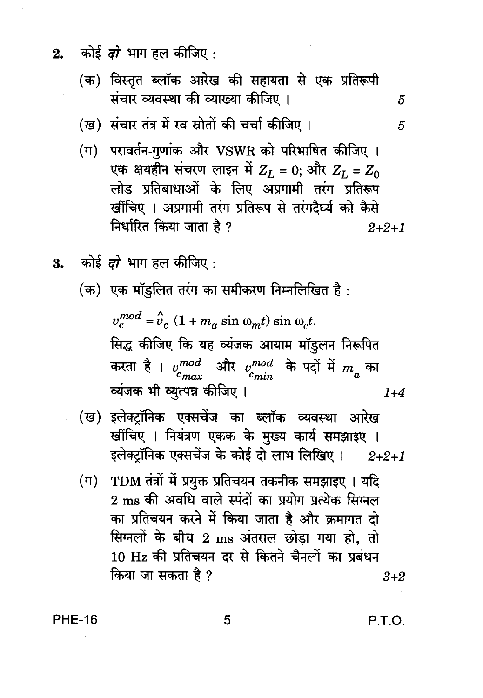- कोई *दो* भाग हल कीजिए :  $2.$ 
	- (क) विस्तृत ब्लॉक आरेख की सहायता से एक प्रतिरूपी संचार व्यवस्था की व्याख्या कीजिए ।
	- (ख) संचार तंत्र में रव स्रोतों की चर्चा कीजिए ।
	- (ग) परावर्तन-गणांक और VSWR को परिभाषित कीजिए । एक क्षयहीन संचरण लाइन में  $Z_L = 0$ ; और  $Z_L = Z_0$ लोड प्रतिबाधाओं के लिए अप्रगामी तरंग प्रतिरूप खींचिए । अप्रगामी तरंग प्रतिरूप से तरंगदैर्घ्य को कैसे निर्धारित किया जाता है ?  $2 + 2 + 1$
- 3. कोई दो भाग हल कीजिए:
	- (क) एक मॉइलित तरंग का समीकरण निम्नलिखित है:

 $v_c^{mod} = v_c (1 + m_a \sin \omega_m t) \sin \omega_c t$ . सिद्ध कीजिए कि यह व्यंजक आयाम मॉडुलन निरूपित करता है।  $v_{cmax}^{mod}$  और  $v_{cmin}^{mod}$  के पदों में  $m_a$  का व्यंजक भी व्युत्पन्न कीजिए।  $1 + 4$ 

- (ख) इलेक्ट्रॉनिक एक्सचेंज का ब्लॉक व्यवस्था आरेख खींचिए । नियंत्रण एकक के मुख्य कार्य समझाइए । इलेक्ट्रॉनिक एक्सचेंज के कोई दो लाभ लिखिए।  $2 + 2 + 1$
- TDM तंत्रों में प्रयुक्त प्रतिचयन तकनीक समझाइए । यदि  $(\Pi)^{-}$ 2 ms की अवधि वाले स्पंदों का प्रयोग प्रत्येक सिग्नल का प्रतिचयन करने में किया जाता है और क्रमागत दो सिग्नलों के बीच 2 ms अंतराल छोड़ा गया हो, तो 10 Hz की प्रतिचयन दर से कितने चैनलों का प्रबंधन किया जा सकता है ?  $3+2$

**PHE-16** 

P.T.O.

5

5

5